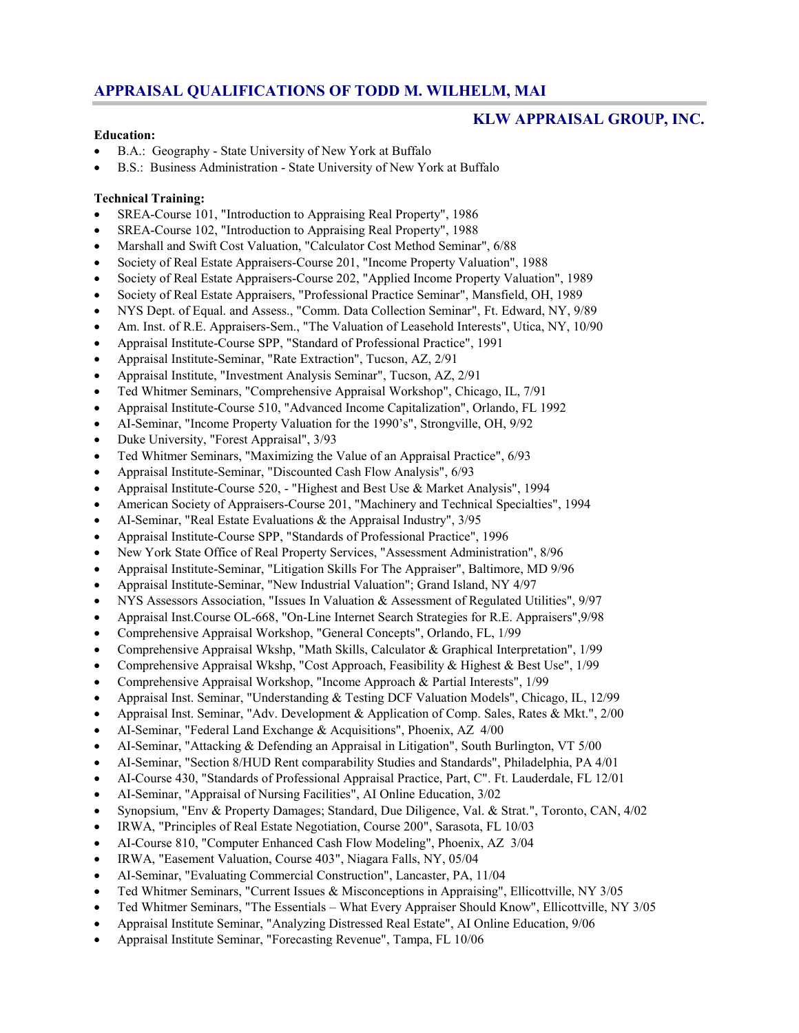# **APPRAISAL QUALIFICATIONS OF TODD M. WILHELM, MAI**

## **KLW APPRAISAL GROUP, INC.**

#### **Education:**

- B.A.: Geography State University of New York at Buffalo
- B.S.: Business Administration State University of New York at Buffalo

### **Technical Training:**

- SREA-Course 101, "Introduction to Appraising Real Property", 1986
- SREA-Course 102, "Introduction to Appraising Real Property", 1988
- Marshall and Swift Cost Valuation, "Calculator Cost Method Seminar", 6/88
- Society of Real Estate Appraisers-Course 201, "Income Property Valuation", 1988
- Society of Real Estate Appraisers-Course 202, "Applied Income Property Valuation", 1989
- Society of Real Estate Appraisers, "Professional Practice Seminar", Mansfield, OH, 1989
- NYS Dept. of Equal. and Assess., "Comm. Data Collection Seminar", Ft. Edward, NY, 9/89
- Am. Inst. of R.E. Appraisers-Sem., "The Valuation of Leasehold Interests", Utica, NY, 10/90
- Appraisal Institute-Course SPP, "Standard of Professional Practice", 1991
- Appraisal Institute-Seminar, "Rate Extraction", Tucson, AZ, 2/91
- Appraisal Institute, "Investment Analysis Seminar", Tucson, AZ, 2/91
- Ted Whitmer Seminars, "Comprehensive Appraisal Workshop", Chicago, IL, 7/91
- Appraisal Institute-Course 510, "Advanced Income Capitalization", Orlando, FL 1992
- AI-Seminar, "Income Property Valuation for the 1990's", Strongville, OH, 9/92
- Duke University, "Forest Appraisal", 3/93
- Ted Whitmer Seminars, "Maximizing the Value of an Appraisal Practice", 6/93
- Appraisal Institute-Seminar, "Discounted Cash Flow Analysis", 6/93
- Appraisal Institute-Course 520, "Highest and Best Use & Market Analysis", 1994
- American Society of Appraisers-Course 201, "Machinery and Technical Specialties", 1994
- AI-Seminar, "Real Estate Evaluations & the Appraisal Industry", 3/95
- Appraisal Institute-Course SPP, "Standards of Professional Practice", 1996
- New York State Office of Real Property Services, "Assessment Administration", 8/96
- Appraisal Institute-Seminar, "Litigation Skills For The Appraiser", Baltimore, MD 9/96
- Appraisal Institute-Seminar, "New Industrial Valuation"; Grand Island, NY 4/97
- NYS Assessors Association, "Issues In Valuation & Assessment of Regulated Utilities", 9/97
- Appraisal Inst.Course OL-668, "On-Line Internet Search Strategies for R.E. Appraisers",9/98
- Comprehensive Appraisal Workshop, "General Concepts", Orlando, FL, 1/99
- Comprehensive Appraisal Wkshp, "Math Skills, Calculator & Graphical Interpretation", 1/99
- Comprehensive Appraisal Wkshp, "Cost Approach, Feasibility & Highest & Best Use",  $1/99$
- Comprehensive Appraisal Workshop, "Income Approach & Partial Interests", 1/99
- Appraisal Inst. Seminar, "Understanding & Testing DCF Valuation Models", Chicago, IL, 12/99
- Appraisal Inst. Seminar, "Adv. Development & Application of Comp. Sales, Rates & Mkt.", 2/00
- AI-Seminar, "Federal Land Exchange & Acquisitions", Phoenix, AZ 4/00
- AI-Seminar, "Attacking & Defending an Appraisal in Litigation", South Burlington, VT 5/00
- AI-Seminar, "Section 8/HUD Rent comparability Studies and Standards", Philadelphia, PA 4/01
- AI-Course 430, "Standards of Professional Appraisal Practice, Part, C". Ft. Lauderdale, FL 12/01
- AI-Seminar, "Appraisal of Nursing Facilities", AI Online Education, 3/02
- Synopsium, "Env & Property Damages; Standard, Due Diligence, Val. & Strat.", Toronto, CAN, 4/02
- IRWA, "Principles of Real Estate Negotiation, Course 200", Sarasota, FL 10/03
- AI-Course 810, "Computer Enhanced Cash Flow Modeling", Phoenix, AZ 3/04
- IRWA, "Easement Valuation, Course 403", Niagara Falls, NY, 05/04
- AI-Seminar, "Evaluating Commercial Construction", Lancaster, PA, 11/04
- Ted Whitmer Seminars, "Current Issues & Misconceptions in Appraising", Ellicottville, NY 3/05
- Ted Whitmer Seminars, "The Essentials What Every Appraiser Should Know", Ellicottville, NY 3/05
- Appraisal Institute Seminar, "Analyzing Distressed Real Estate", AI Online Education, 9/06
- Appraisal Institute Seminar, "Forecasting Revenue", Tampa, FL 10/06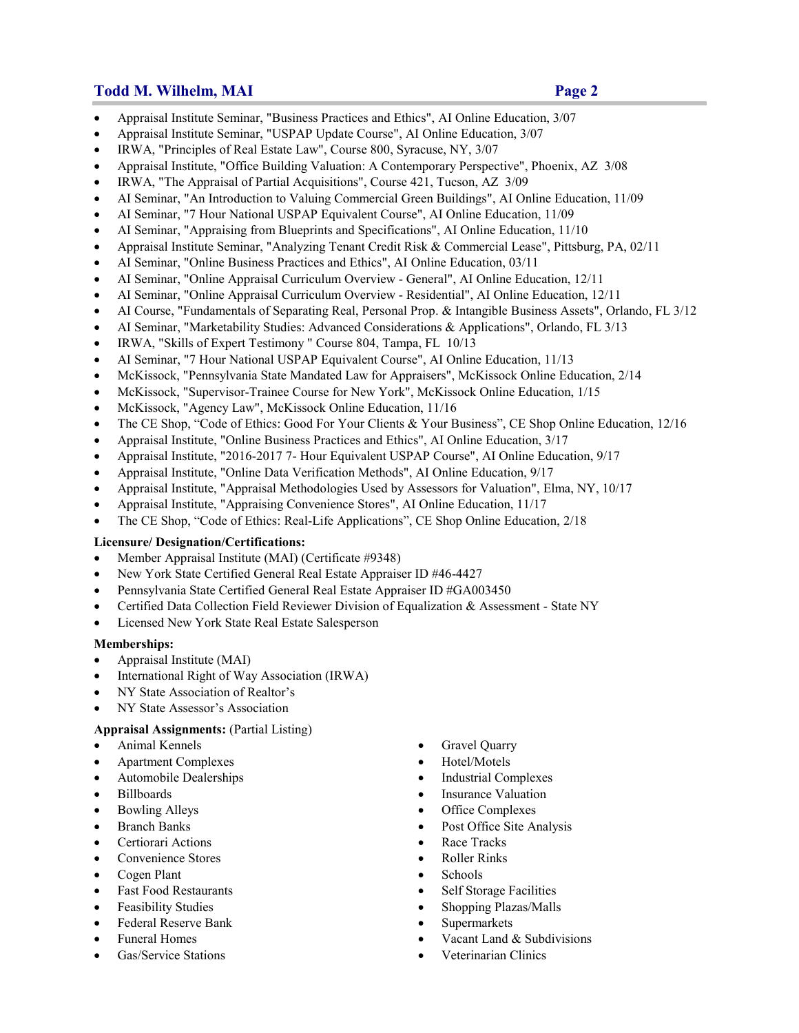## **Todd M. Wilhelm, MAI Page 2**

- Appraisal Institute Seminar, "Business Practices and Ethics", AI Online Education, 3/07
- Appraisal Institute Seminar, "USPAP Update Course", AI Online Education, 3/07
- IRWA, "Principles of Real Estate Law", Course 800, Syracuse, NY, 3/07
- Appraisal Institute, "Office Building Valuation: A Contemporary Perspective", Phoenix, AZ 3/08
- IRWA, "The Appraisal of Partial Acquisitions", Course 421, Tucson, AZ 3/09
- AI Seminar, "An Introduction to Valuing Commercial Green Buildings", AI Online Education, 11/09
- AI Seminar, "7 Hour National USPAP Equivalent Course", AI Online Education, 11/09
- AI Seminar, "Appraising from Blueprints and Specifications", AI Online Education, 11/10
- Appraisal Institute Seminar, "Analyzing Tenant Credit Risk & Commercial Lease", Pittsburg, PA, 02/11
- AI Seminar, "Online Business Practices and Ethics", AI Online Education, 03/11
- AI Seminar, "Online Appraisal Curriculum Overview General", AI Online Education, 12/11
- AI Seminar, "Online Appraisal Curriculum Overview Residential", AI Online Education, 12/11
- AI Course, "Fundamentals of Separating Real, Personal Prop. & Intangible Business Assets", Orlando, FL 3/12
- AI Seminar, "Marketability Studies: Advanced Considerations & Applications", Orlando, FL 3/13
- IRWA, "Skills of Expert Testimony " Course 804, Tampa, FL 10/13
- AI Seminar, "7 Hour National USPAP Equivalent Course", AI Online Education, 11/13
- McKissock, "Pennsylvania State Mandated Law for Appraisers", McKissock Online Education, 2/14
- McKissock, "Supervisor-Trainee Course for New York", McKissock Online Education, 1/15
- McKissock, "Agency Law", McKissock Online Education, 11/16
- The CE Shop, "Code of Ethics: Good For Your Clients & Your Business", CE Shop Online Education, 12/16
- Appraisal Institute, "Online Business Practices and Ethics", AI Online Education, 3/17
- Appraisal Institute, "2016-2017 7- Hour Equivalent USPAP Course", AI Online Education, 9/17
- Appraisal Institute, "Online Data Verification Methods", AI Online Education, 9/17
- Appraisal Institute, "Appraisal Methodologies Used by Assessors for Valuation", Elma, NY, 10/17
- Appraisal Institute, "Appraising Convenience Stores", AI Online Education, 11/17
- The CE Shop, "Code of Ethics: Real-Life Applications", CE Shop Online Education, 2/18

#### **Licensure/ Designation/Certifications:**

- Member Appraisal Institute (MAI) (Certificate #9348)
- New York State Certified General Real Estate Appraiser ID #46-4427
- Pennsylvania State Certified General Real Estate Appraiser ID #GA003450
- Certified Data Collection Field Reviewer Division of Equalization & Assessment State NY
- Licensed New York State Real Estate Salesperson

#### **Memberships:**

- Appraisal Institute (MAI)
- International Right of Way Association (IRWA)
- NY State Association of Realtor's
- NY State Assessor's Association

## **Appraisal Assignments:** (Partial Listing)

- 
- Apartment Complexes Hotel/Motels
- 
- 
- 
- 
- Certiorari Actions **Certiorari Actions Race Tracks**
- Convenience Stores **Roller Rinks Convenience Stores Roller Rinks**
- Cogen Plant Schools
- 
- 
- Federal Reserve Bank **Supermarkets** Supermarkets
- 
- 
- Animal Kennels **Gravel Quarry** 
	-
- Automobile Dealerships **Industrial Complexes**
- Billboards **Insurance Valuation Insurance Valuation**
- Bowling Alleys **Complexes Complexes Complexes**
- Branch Banks **Post Office Site Analysis Post Office Site Analysis** 
	-
	-
	-
- Fast Food Restaurants **Self Storage Facilities Self Storage Facilities**
- Feasibility Studies Shopping Plazas/Malls
	-
- Funeral Homes Vacant Land & Subdivisions
	- Gas/Service Stations <br>
	Stations <br>
	Stations <br>
	Stations <br>
	Stations <br>
	Stations <br>
	Stations <br>
	Stations <br>
	Stations <br>
	Stations <br>
	Stations <br>
	Stations <br>
	Stations <br>
	Stations <br>
	Stations <br>
	Stations <br>
	Stations <br>
	Stations <br>
	Stations <br>
	S